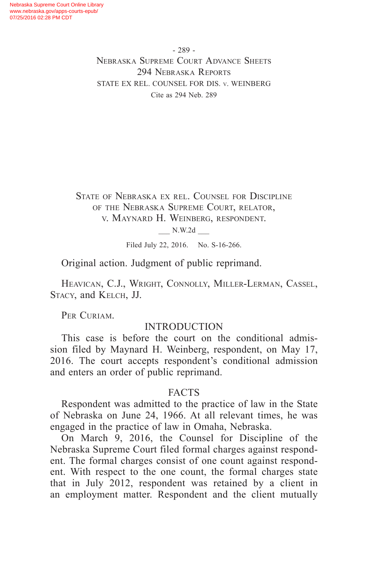- 289 - Nebraska Supreme Court Advance Sheets 294 Nebraska Reports STATE EX REL. COUNSEL FOR DIS. v. WEINBERG Cite as 294 Neb. 289

State of Nebraska ex rel. Counsel for Discipline of the Nebraska Supreme Court, relator, v. Maynard H. Weinberg, respondent.

N.W.2d

Filed July 22, 2016. No. S-16-266.

Original action. Judgment of public reprimand.

Heavican, C.J., Wright, Connolly, Miller-Lerman, Cassel, Stacy, and Kelch, JJ.

PER CURIAM.

#### INTRODUCTION

This case is before the court on the conditional admission filed by Maynard H. Weinberg, respondent, on May 17, 2016. The court accepts respondent's conditional admission and enters an order of public reprimand.

#### FACTS

Respondent was admitted to the practice of law in the State of Nebraska on June 24, 1966. At all relevant times, he was engaged in the practice of law in Omaha, Nebraska.

On March 9, 2016, the Counsel for Discipline of the Nebraska Supreme Court filed formal charges against respondent. The formal charges consist of one count against respondent. With respect to the one count, the formal charges state that in July 2012, respondent was retained by a client in an employment matter. Respondent and the client mutually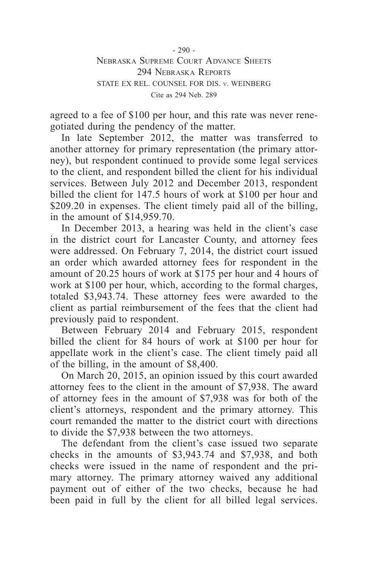- 290 - Nebraska Supreme Court Advance Sheets 294 Nebraska Reports STATE EX REL. COUNSEL FOR DIS. v. WEINBERG Cite as 294 Neb. 289

agreed to a fee of \$100 per hour, and this rate was never renegotiated during the pendency of the matter.

In late September 2012, the matter was transferred to another attorney for primary representation (the primary attorney), but respondent continued to provide some legal services to the client, and respondent billed the client for his individual services. Between July 2012 and December 2013, respondent billed the client for 147.5 hours of work at \$100 per hour and \$209.20 in expenses. The client timely paid all of the billing, in the amount of \$14,959.70.

In December 2013, a hearing was held in the client's case in the district court for Lancaster County, and attorney fees were addressed. On February 7, 2014, the district court issued an order which awarded attorney fees for respondent in the amount of 20.25 hours of work at \$175 per hour and 4 hours of work at \$100 per hour, which, according to the formal charges, totaled \$3,943.74. These attorney fees were awarded to the client as partial reimbursement of the fees that the client had previously paid to respondent.

Between February 2014 and February 2015, respondent billed the client for 84 hours of work at \$100 per hour for appellate work in the client's case. The client timely paid all of the billing, in the amount of \$8,400.

On March 20, 2015, an opinion issued by this court awarded attorney fees to the client in the amount of \$7,938. The award of attorney fees in the amount of \$7,938 was for both of the client's attorneys, respondent and the primary attorney. This court remanded the matter to the district court with directions to divide the \$7,938 between the two attorneys.

The defendant from the client's case issued two separate checks in the amounts of \$3,943.74 and \$7,938, and both checks were issued in the name of respondent and the primary attorney. The primary attorney waived any additional payment out of either of the two checks, because he had been paid in full by the client for all billed legal services.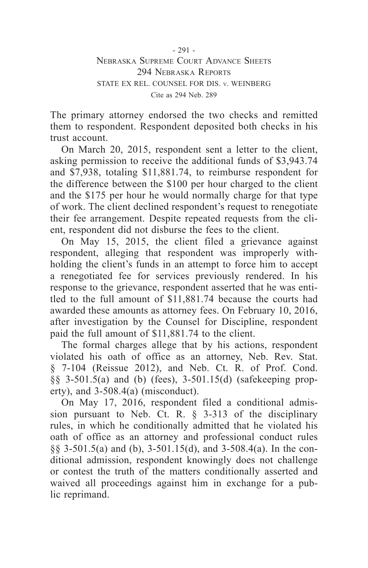The primary attorney endorsed the two checks and remitted them to respondent. Respondent deposited both checks in his trust account.

On March 20, 2015, respondent sent a letter to the client, asking permission to receive the additional funds of \$3,943.74 and \$7,938, totaling \$11,881.74, to reimburse respondent for the difference between the \$100 per hour charged to the client and the \$175 per hour he would normally charge for that type of work. The client declined respondent's request to renegotiate their fee arrangement. Despite repeated requests from the client, respondent did not disburse the fees to the client.

On May 15, 2015, the client filed a grievance against respondent, alleging that respondent was improperly withholding the client's funds in an attempt to force him to accept a renegotiated fee for services previously rendered. In his response to the grievance, respondent asserted that he was entitled to the full amount of \$11,881.74 because the courts had awarded these amounts as attorney fees. On February 10, 2016, after investigation by the Counsel for Discipline, respondent paid the full amount of \$11,881.74 to the client.

The formal charges allege that by his actions, respondent violated his oath of office as an attorney, Neb. Rev. Stat. § 7-104 (Reissue 2012), and Neb. Ct. R. of Prof. Cond. §§ 3-501.5(a) and (b) (fees), 3-501.15(d) (safekeeping property), and 3-508.4(a) (misconduct).

On May 17, 2016, respondent filed a conditional admission pursuant to Neb. Ct. R. § 3-313 of the disciplinary rules, in which he conditionally admitted that he violated his oath of office as an attorney and professional conduct rules §§ 3-501.5(a) and (b), 3-501.15(d), and 3-508.4(a). In the conditional admission, respondent knowingly does not challenge or contest the truth of the matters conditionally asserted and waived all proceedings against him in exchange for a public reprimand.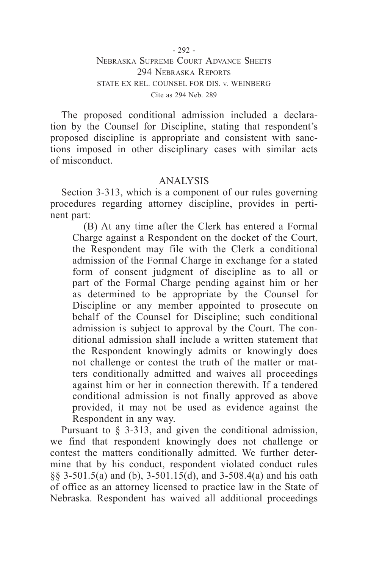# Nebraska Supreme Court Advance Sheets 294 Nebraska Reports STATE EX REL. COUNSEL FOR DIS. v. WEINBERG Cite as 294 Neb. 289

The proposed conditional admission included a declaration by the Counsel for Discipline, stating that respondent's proposed discipline is appropriate and consistent with sanctions imposed in other disciplinary cases with similar acts of misconduct.

# ANALYSIS

Section 3-313, which is a component of our rules governing procedures regarding attorney discipline, provides in pertinent part:

(B) At any time after the Clerk has entered a Formal Charge against a Respondent on the docket of the Court, the Respondent may file with the Clerk a conditional admission of the Formal Charge in exchange for a stated form of consent judgment of discipline as to all or part of the Formal Charge pending against him or her as determined to be appropriate by the Counsel for Discipline or any member appointed to prosecute on behalf of the Counsel for Discipline; such conditional admission is subject to approval by the Court. The conditional admission shall include a written statement that the Respondent knowingly admits or knowingly does not challenge or contest the truth of the matter or matters conditionally admitted and waives all proceedings against him or her in connection therewith. If a tendered conditional admission is not finally approved as above provided, it may not be used as evidence against the Respondent in any way.

Pursuant to § 3-313, and given the conditional admission, we find that respondent knowingly does not challenge or contest the matters conditionally admitted. We further determine that by his conduct, respondent violated conduct rules §§ 3-501.5(a) and (b), 3-501.15(d), and 3-508.4(a) and his oath of office as an attorney licensed to practice law in the State of Nebraska. Respondent has waived all additional proceedings